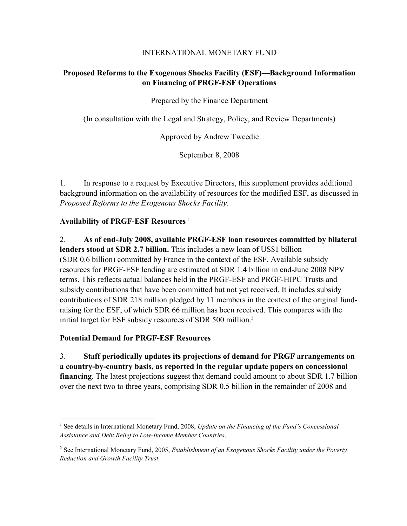#### INTERNATIONAL MONETARY FUND

# **Proposed Reforms to the Exogenous Shocks Facility (ESF)—Background Information on Financing of PRGF-ESF Operations**

Prepared by the Finance Department

(In consultation with the Legal and Strategy, Policy, and Review Departments)

Approved by Andrew Tweedie

September 8, 2008

1. In response to a request by Executive Directors, this supplement provides additional background information on the availability of resources for the modified ESF, as discussed in *Proposed Reforms to the Exogenous Shocks Facility*.

### **Availability of PRGF-ESF Resources** <sup>1</sup>

2. **As of end-July 2008, available PRGF-ESF loan resources committed by bilateral lenders stood at SDR 2.7 billion.** This includes a new loan of US\$1 billion (SDR 0.6 billion) committed by France in the context of the ESF. Available subsidy resources for PRGF-ESF lending are estimated at SDR 1.4 billion in end-June 2008 NPV terms. This reflects actual balances held in the PRGF-ESF and PRGF-HIPC Trusts and subsidy contributions that have been committed but not yet received. It includes subsidy contributions of SDR 218 million pledged by 11 members in the context of the original fundraising for the ESF, of which SDR 66 million has been received. This compares with the initial target for ESF subsidy resources of SDR 500 million.<sup>2</sup>

#### **Potential Demand for PRGF-ESF Resources**

 $\overline{a}$ 

3. **Staff periodically updates its projections of demand for PRGF arrangements on a country-by-country basis, as reported in the regular update papers on concessional financing**. The latest projections suggest that demand could amount to about SDR 1.7 billion over the next two to three years, comprising SDR 0.5 billion in the remainder of 2008 and

<sup>&</sup>lt;sup>1</sup> See details in International Monetary Fund, 2008, *Update on the Financing of the Fund's Concessional Assistance and Debt Relief to Low-Income Member Countries*.

<sup>2</sup> See International Monetary Fund, 2005, *Establishment of an Exogenous Shocks Facility under the Poverty Reduction and Growth Facility Trust*.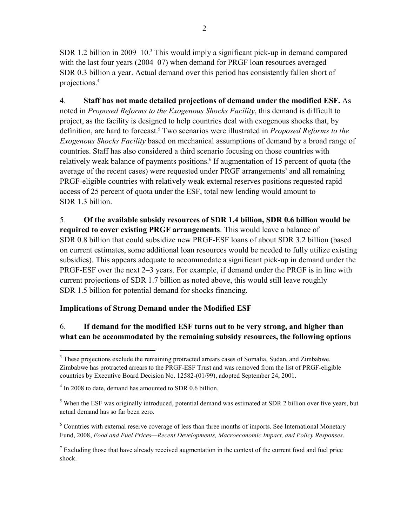SDR 1.2 billion in 2009–10. $3$  This would imply a significant pick-up in demand compared with the last four years (2004–07) when demand for PRGF loan resources averaged SDR 0.3 billion a year. Actual demand over this period has consistently fallen short of projections.4

4. **Staff has not made detailed projections of demand under the modified ESF.** As noted in *Proposed Reforms to the Exogenous Shocks Facility*, this demand is difficult to project, as the facility is designed to help countries deal with exogenous shocks that, by definition, are hard to forecast.<sup>5</sup> Two scenarios were illustrated in *Proposed Reforms to the Exogenous Shocks Facility* based on mechanical assumptions of demand by a broad range of countries. Staff has also considered a third scenario focusing on those countries with relatively weak balance of payments positions.<sup>6</sup> If augmentation of 15 percent of quota (the average of the recent cases) were requested under PRGF arrangements<sup>7</sup> and all remaining PRGF-eligible countries with relatively weak external reserves positions requested rapid access of 25 percent of quota under the ESF, total new lending would amount to SDR 1.3 billion.

5. **Of the available subsidy resources of SDR 1.4 billion, SDR 0.6 billion would be required to cover existing PRGF arrangements**. This would leave a balance of SDR 0.8 billion that could subsidize new PRGF-ESF loans of about SDR 3.2 billion (based on current estimates, some additional loan resources would be needed to fully utilize existing subsidies). This appears adequate to accommodate a significant pick-up in demand under the PRGF-ESF over the next 2–3 years. For example, if demand under the PRGF is in line with current projections of SDR 1.7 billion as noted above, this would still leave roughly SDR 1.5 billion for potential demand for shocks financing.

# **Implications of Strong Demand under the Modified ESF**

# 6. **If demand for the modified ESF turns out to be very strong, and higher than what can be accommodated by the remaining subsidy resources, the following options**

 $\overline{a}$ 

<sup>&</sup>lt;sup>3</sup> These projections exclude the remaining protracted arrears cases of Somalia, Sudan, and Zimbabwe. Zimbabwe has protracted arrears to the PRGF-ESF Trust and was removed from the list of PRGF-eligible countries by Executive Board Decision No. 12582-(01/99), adopted September 24, 2001.

<sup>&</sup>lt;sup>4</sup> In 2008 to date, demand has amounted to SDR 0.6 billion.

<sup>&</sup>lt;sup>5</sup> When the ESF was originally introduced, potential demand was estimated at SDR 2 billion over five years, but actual demand has so far been zero.

<sup>&</sup>lt;sup>6</sup> Countries with external reserve coverage of less than three months of imports. See International Monetary Fund, 2008, *Food and Fuel Prices—Recent Developments, Macroeconomic Impact, and Policy Responses*.

 $7$  Excluding those that have already received augmentation in the context of the current food and fuel price shock.